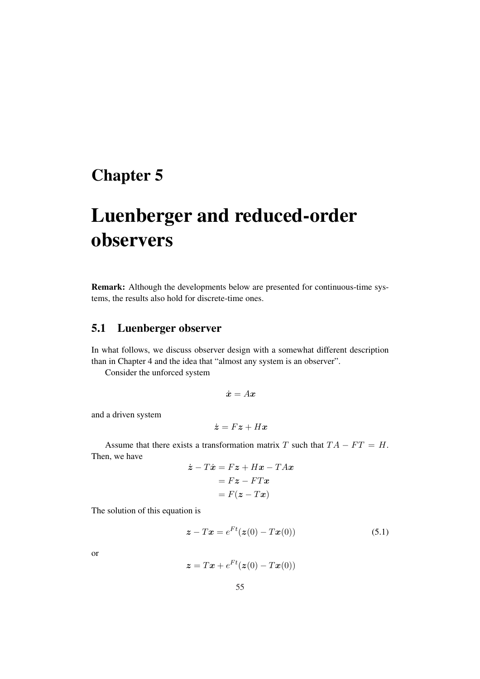## Chapter 5

## Luenberger and reduced-order observers

Remark: Although the developments below are presented for continuous-time systems, the results also hold for discrete-time ones.

## 5.1 Luenberger observer

In what follows, we discuss observer design with a somewhat different description than in Chapter 4 and the idea that "almost any system is an observer".

Consider the unforced system

$$
\dot{\bm{x}}=A\bm{x}
$$

and a driven system

$$
\dot{\bm{z}} = F\bm{z} + H\bm{x}
$$

Assume that there exists a transformation matrix T such that  $TA - FT = H$ . Then, we have

$$
\begin{aligned} \dot{\mathbf{z}} - T\dot{\mathbf{x}} &= F\mathbf{z} + H\mathbf{x} - T A\mathbf{x} \\ &= F\mathbf{z} - F T\mathbf{x} \\ &= F(\mathbf{z} - T\mathbf{x}) \end{aligned}
$$

The solution of this equation is

$$
\boldsymbol{z} - T\boldsymbol{x} = e^{Ft}(\boldsymbol{z}(0) - T\boldsymbol{x}(0))
$$
\n(5.1)

or

$$
\boldsymbol{z} = T\boldsymbol{x} + e^{Ft}(\boldsymbol{z}(0) - T\boldsymbol{x}(0))
$$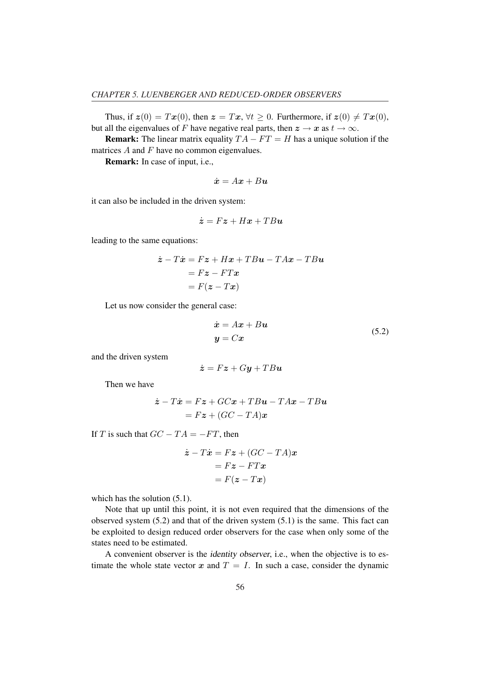Thus, if  $z(0) = Tx(0)$ , then  $z = Tx$ ,  $\forall t \ge 0$ . Furthermore, if  $z(0) \ne Tx(0)$ , but all the eigenvalues of F have negative real parts, then  $z \to x$  as  $t \to \infty$ .

**Remark:** The linear matrix equality  $TA - FT = H$  has a unique solution if the matrices  $A$  and  $F$  have no common eigenvalues.

Remark: In case of input, i.e.,

$$
\dot{\bm{x}} = A\bm{x} + B\bm{u}
$$

it can also be included in the driven system:

$$
\dot{\boldsymbol{z}} = F\boldsymbol{z} + H\boldsymbol{x} + T B\boldsymbol{u}
$$

leading to the same equations:

$$
\begin{aligned} \dot{\mathbf{z}} - T\dot{\mathbf{x}} &= F\mathbf{z} + H\mathbf{x} + T B\mathbf{u} - T A\mathbf{x} - T B\mathbf{u} \\ &= F\mathbf{z} - F T\mathbf{x} \\ &= F(\mathbf{z} - T\mathbf{x}) \end{aligned}
$$

Let us now consider the general case:

$$
\begin{aligned} \dot{\mathbf{x}} &= A\mathbf{x} + B\mathbf{u} \\ \mathbf{y} &= C\mathbf{x} \end{aligned} \tag{5.2}
$$

and the driven system

$$
\dot{\boldsymbol{z}} = F\boldsymbol{z} + G\boldsymbol{y} + T B\boldsymbol{u}
$$

Then we have

$$
\begin{aligned} \dot{\mathbf{z}} - T\dot{\mathbf{x}} &= F\mathbf{z} + GC\mathbf{x} + TBu - TA\mathbf{x} - TB\mathbf{u} \\ &= F\mathbf{z} + (GC - TA)\mathbf{x} \end{aligned}
$$

If T is such that  $GC - TA = -FT$ , then

$$
\begin{aligned} \dot{\mathbf{z}} - T\dot{\mathbf{x}} &= F\mathbf{z} + (GC - TA)\mathbf{x} \\ &= F\mathbf{z} - FT\mathbf{x} \\ &= F(\mathbf{z} - T\mathbf{x}) \end{aligned}
$$

which has the solution  $(5.1)$ .

Note that up until this point, it is not even required that the dimensions of the observed system (5.2) and that of the driven system (5.1) is the same. This fact can be exploited to design reduced order observers for the case when only some of the states need to be estimated.

A convenient observer is the identity observer, i.e., when the objective is to estimate the whole state vector x and  $T = I$ . In such a case, consider the dynamic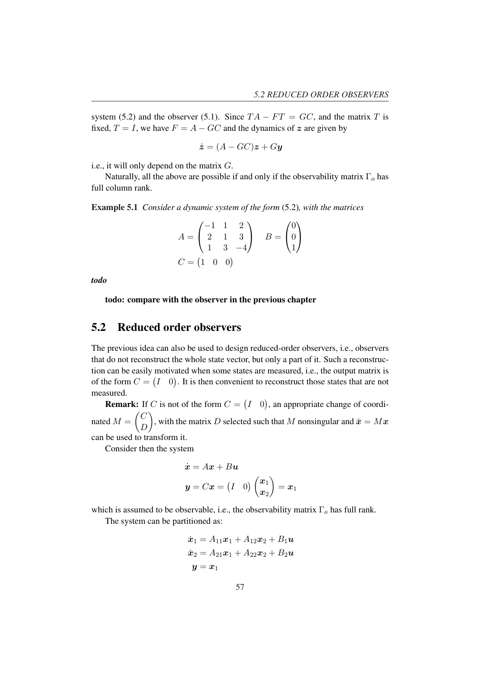system (5.2) and the observer (5.1). Since  $TA - FT = GC$ , and the matrix T is fixed,  $T = I$ , we have  $F = A - GC$  and the dynamics of z are given by

$$
\dot{\boldsymbol{z}} = (A - GC)\boldsymbol{z} + G\boldsymbol{y}
$$

i.e., it will only depend on the matrix G.

Naturally, all the above are possible if and only if the observability matrix  $\Gamma_o$  has full column rank.

Example 5.1 *Consider a dynamic system of the form* (5.2)*, with the matrices*

$$
A = \begin{pmatrix} -1 & 1 & 2 \\ 2 & 1 & 3 \\ 1 & 3 & -4 \end{pmatrix} \quad B = \begin{pmatrix} 0 \\ 0 \\ 1 \end{pmatrix}
$$
  

$$
C = \begin{pmatrix} 1 & 0 & 0 \end{pmatrix}
$$

*todo*

todo: compare with the observer in the previous chapter

## 5.2 Reduced order observers

The previous idea can also be used to design reduced-order observers, i.e., observers that do not reconstruct the whole state vector, but only a part of it. Such a reconstruction can be easily motivated when some states are measured, i.e., the output matrix is of the form  $C = (I \ 0)$ . It is then convenient to reconstruct those states that are not measured. ¡ ¢

**Remark:** If C is not of the form  $C =$ I 0  $\mathbf{G}$ : If C is not of the form  $C = (I \quad 0)$ , an appropriate change of coordinated  $M = \begin{pmatrix} C \\ D \end{pmatrix}$  $\begin{pmatrix} 0 \\ D \end{pmatrix}$ , with the matrix D selected such that M nonsingular and  $\bar{x} = Mx$ can be used to transform it.

Consider then the system

$$
\dot{x} = Ax + Bu
$$
  

$$
y = Cx = (I \quad 0) \begin{pmatrix} x_1 \\ x_2 \end{pmatrix} = x_1
$$

which is assumed to be observable, i.e., the observability matrix  $\Gamma_o$  has full rank. The system can be partitioned as:

$$
\begin{aligned} \dot{\bm{x}}_1 &= A_{11}\bm{x}_1 + A_{12}\bm{x}_2 + B_1\bm{u} \\ \dot{\bm{x}}_2 &= A_{21}\bm{x}_1 + A_{22}\bm{x}_2 + B_2\bm{u} \\ \bm{y} &= \bm{x}_1 \end{aligned}
$$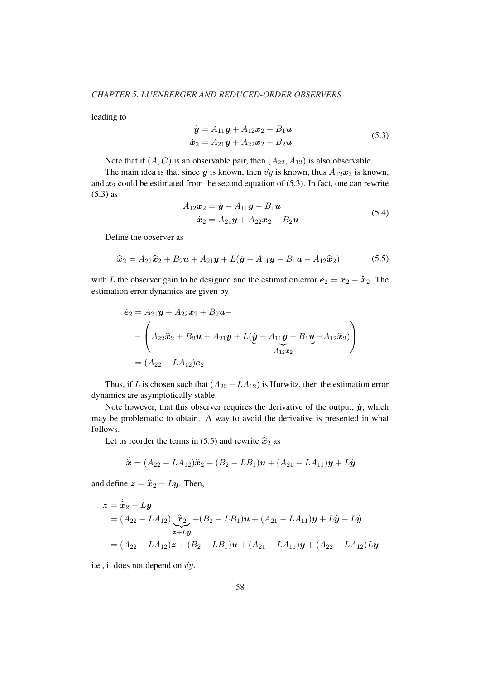leading to

$$
\dot{y} = A_{11}y + A_{12}x_2 + B_1u
$$
  
\n
$$
\dot{x}_2 = A_{21}y + A_{22}x_2 + B_2u
$$
\n(5.3)

Note that if  $(A, C)$  is an observable pair, then  $(A_{22}, A_{12})$  is also observable.

The main idea is that since y is known, then vy is known, thus  $A_{12}x_2$  is known, and  $x_2$  could be estimated from the second equation of (5.3). In fact, one can rewrite (5.3) as

$$
A_{12}x_2 = \dot{y} - A_{11}y - B_1u
$$
  
\n
$$
\dot{x}_2 = A_{21}y + A_{22}x_2 + B_2u
$$
\n(5.4)

Define the observer as

$$
\dot{\hat{\mathbf{x}}}_2 = A_{22}\hat{\mathbf{x}}_2 + B_2\mathbf{u} + A_{21}\mathbf{y} + L(\dot{\mathbf{y}} - A_{11}\mathbf{y} - B_1\mathbf{u} - A_{12}\hat{\mathbf{x}}_2)
$$
(5.5)

with L the observer gain to be designed and the estimation error  $e_2 = x_2 - \hat{x}_2$ . The estimation error dynamics are given by

$$
\dot{\mathbf{e}}_2 = A_{21}\mathbf{y} + A_{22}\mathbf{x}_2 + B_2\mathbf{u} -
$$
\n
$$
- \left( A_{22}\hat{\mathbf{x}}_2 + B_2\mathbf{u} + A_{21}\mathbf{y} + L(\underline{\mathbf{y}} - A_{11}\mathbf{y} - B_1\mathbf{u} - A_{12}\hat{\mathbf{x}}_2) \right)
$$
\n
$$
= (A_{22} - LA_{12})\mathbf{e}_2
$$

Thus, if L is chosen such that  $(A_{22} - LA_{12})$  is Hurwitz, then the estimation error dynamics are asymptotically stable.

Note however, that this observer requires the derivative of the output,  $\dot{y}$ , which may be problematic to obtain. A way to avoid the derivative is presented in what follows.

Let us reorder the terms in (5.5) and rewrite  $\dot{\hat{\mathbf{x}}}_2$  as

$$
\dot{\hat{\bm{x}}} = (A_{22} - LA_{12})\hat{\bm{x}}_2 + (B_2 - LB_1)\bm{u} + (A_{21} - LA_{11})\bm{y} + L\dot{\bm{y}}
$$

and define  $z = \hat{x}_2 - Ly$ . Then,

$$
\dot{\mathbf{z}} = \dot{\hat{\mathbf{x}}}_2 - L\dot{\mathbf{y}} \n= (A_{22} - LA_{12}) \underbrace{\hat{\mathbf{x}}}_2 + (B_2 - LB_1)\mathbf{u} + (A_{21} - LA_{11})\mathbf{y} + L\dot{\mathbf{y}} - L\dot{\mathbf{y}} \n= (A_{22} - LA_{12})\mathbf{z} + (B_2 - LB_1)\mathbf{u} + (A_{21} - LA_{11})\mathbf{y} + (A_{22} - LA_{12})Ly
$$

i.e., it does not depend on  $\dot{v}y$ .